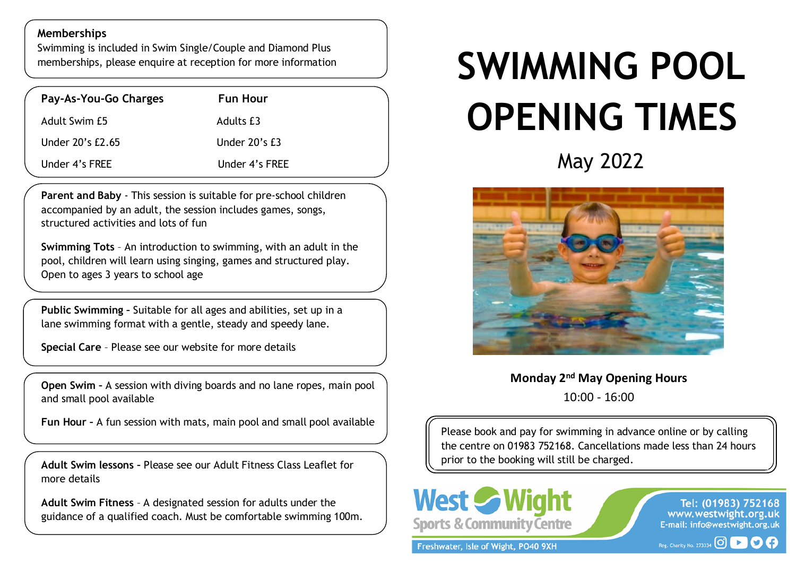## **Memberships**

Swimming is included in Swim Single/Couple and Diamond Plus memberships, please enquire at reception for more information

| Pay-As-You-Go Charges | <b>Fun Hour</b>    |
|-----------------------|--------------------|
| Adult Swim £5         | Adults £3          |
| Under 20's £2.65      | Under $20$ 's $E3$ |
| Under 4's FREE        | Under 4's FREE     |

**Parent and Baby** - This session is suitable for pre-school children accompanied by an adult, the session includes games, songs, structured activities and lots of fun

**Swimming Tots** – An introduction to swimming, with an adult in the pool, children will learn using singing, games and structured play. Open to ages 3 years to school age

 lane swimming format with a gentle, steady and speedy lane. **Public Swimming –** Suitable for all ages and abilities, set up in a

**Special Care** – Please see our website for more details

**Open Swim –** A session with diving boards and no lane ropes, main pool and small pool available

**Fun Hour –** A fun session with mats, main pool and small pool available

**Adult Swim lessons –** Please see our Adult Fitness Class Leaflet for more details

**Adult Swim Fitness** – A designated session for adults under the guidance of a qualified coach. Must be comfortable swimming 100m.

## $\overline{\phantom{a}}$ **SWIMMING POOL OPENING TIMES**

May 2022



**Monday 2nd May Opening Hours**  10:00 - 16:00

Please book and pay for swimming in advance online or by calling the centre on 01983 752168. Cancellations made less than 24 hours prior to the booking will still be charged.



Freshwater, Isle of Wight, PO40 9XH

Tel: (01983) 752168<br>www.westwight.org.uk E-mail: info@westwight.org.uk